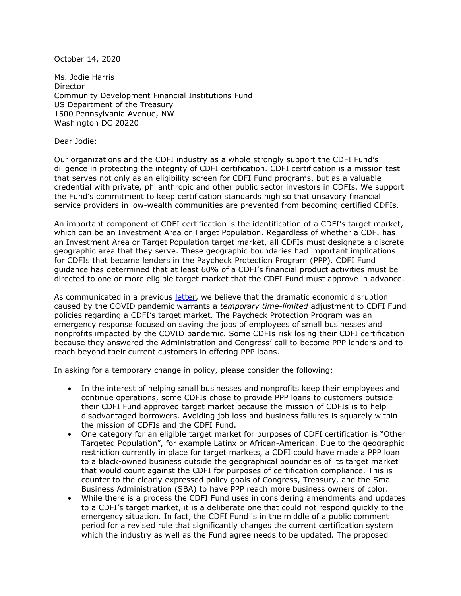October 14, 2020

Ms. Jodie Harris **Director** Community Development Financial Institutions Fund US Department of the Treasury 1500 Pennsylvania Avenue, NW Washington DC 20220

Dear Jodie:

Our organizations and the CDFI industry as a whole strongly support the CDFI Fund's diligence in protecting the integrity of CDFI certification. CDFI certification is a mission test that serves not only as an eligibility screen for CDFI Fund programs, but as a valuable credential with private, philanthropic and other public sector investors in CDFIs. We support the Fund's commitment to keep certification standards high so that unsavory financial service providers in low-wealth communities are prevented from becoming certified CDFIs.

An important component of CDFI certification is the identification of a CDFI's target market, which can be an Investment Area or Target Population. Regardless of whether a CDFI has an Investment Area or Target Population target market, all CDFIs must designate a discrete geographic area that they serve. These geographic boundaries had important implications for CDFIs that became lenders in the Paycheck Protection Program (PPP). CDFI Fund guidance has determined that at least 60% of a CDFI's financial product activities must be directed to one or more eligible target market that the CDFI Fund must approve in advance.

As communicated in a previous [letter,](https://ofn.org/sites/default/files/resources/PDFs/Policy%20Docs/2020/Letter%20to%20CDFI%20Fund%20Regarding%20PPP%20Lending%20and%20CDFI%20Target%20Markets_.pdf) we believe that the dramatic economic disruption caused by the COVID pandemic warrants a *temporary time-limited* adjustment to CDFI Fund policies regarding a CDFI's target market. The Paycheck Protection Program was an emergency response focused on saving the jobs of employees of small businesses and nonprofits impacted by the COVID pandemic. Some CDFIs risk losing their CDFI certification because they answered the Administration and Congress' call to become PPP lenders and to reach beyond their current customers in offering PPP loans.

In asking for a temporary change in policy, please consider the following:

- In the interest of helping small businesses and nonprofits keep their employees and continue operations, some CDFIs chose to provide PPP loans to customers outside their CDFI Fund approved target market because the mission of CDFIs is to help disadvantaged borrowers. Avoiding job loss and business failures is squarely within the mission of CDFIs and the CDFI Fund.
- One category for an eligible target market for purposes of CDFI certification is "Other Targeted Population", for example Latinx or African-American. Due to the geographic restriction currently in place for target markets, a CDFI could have made a PPP loan to a black-owned business outside the geographical boundaries of its target market that would count against the CDFI for purposes of certification compliance. This is counter to the clearly expressed policy goals of Congress, Treasury, and the Small Business Administration (SBA) to have PPP reach more business owners of color.
- While there is a process the CDFI Fund uses in considering amendments and updates to a CDFI's target market, it is a deliberate one that could not respond quickly to the emergency situation. In fact, the CDFI Fund is in the middle of a public comment period for a revised rule that significantly changes the current certification system which the industry as well as the Fund agree needs to be updated. The proposed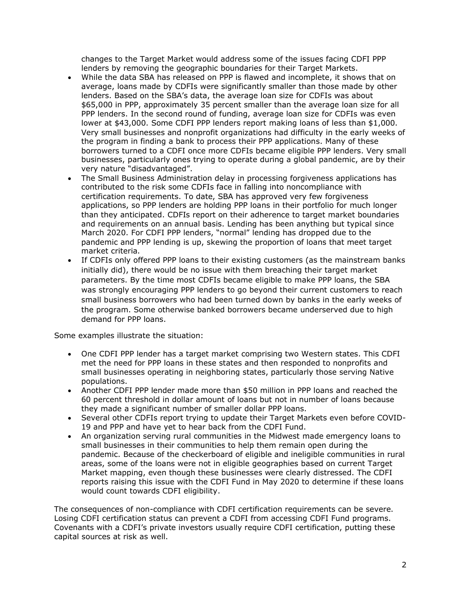changes to the Target Market would address some of the issues facing CDFI PPP lenders by removing the geographic boundaries for their Target Markets.

- While the data SBA has released on PPP is flawed and incomplete, it shows that on average, loans made by CDFIs were significantly smaller than those made by other lenders. Based on the SBA's data, the average loan size for CDFIs was about \$65,000 in PPP, approximately 35 percent smaller than the average loan size for all PPP lenders. In the second round of funding, average loan size for CDFIs was even lower at \$43,000. Some CDFI PPP lenders report making loans of less than \$1,000. Very small businesses and nonprofit organizations had difficulty in the early weeks of the program in finding a bank to process their PPP applications. Many of these borrowers turned to a CDFI once more CDFIs became eligible PPP lenders. Very small businesses, particularly ones trying to operate during a global pandemic, are by their very nature "disadvantaged".
- The Small Business Administration delay in processing forgiveness applications has contributed to the risk some CDFIs face in falling into noncompliance with certification requirements. To date, SBA has approved very few forgiveness applications, so PPP lenders are holding PPP loans in their portfolio for much longer than they anticipated. CDFIs report on their adherence to target market boundaries and requirements on an annual basis. Lending has been anything but typical since March 2020. For CDFI PPP lenders, "normal" lending has dropped due to the pandemic and PPP lending is up, skewing the proportion of loans that meet target market criteria.
- If CDFIs only offered PPP loans to their existing customers (as the mainstream banks initially did), there would be no issue with them breaching their target market parameters. By the time most CDFIs became eligible to make PPP loans, the SBA was strongly encouraging PPP lenders to go beyond their current customers to reach small business borrowers who had been turned down by banks in the early weeks of the program. Some otherwise banked borrowers became underserved due to high demand for PPP loans.

Some examples illustrate the situation:

- One CDFI PPP lender has a target market comprising two Western states. This CDFI met the need for PPP loans in these states and then responded to nonprofits and small businesses operating in neighboring states, particularly those serving Native populations.
- Another CDFI PPP lender made more than \$50 million in PPP loans and reached the 60 percent threshold in dollar amount of loans but not in number of loans because they made a significant number of smaller dollar PPP loans.
- Several other CDFIs report trying to update their Target Markets even before COVID-19 and PPP and have yet to hear back from the CDFI Fund.
- An organization serving rural communities in the Midwest made emergency loans to small businesses in their communities to help them remain open during the pandemic. Because of the checkerboard of eligible and ineligible communities in rural areas, some of the loans were not in eligible geographies based on current Target Market mapping, even though these businesses were clearly distressed. The CDFI reports raising this issue with the CDFI Fund in May 2020 to determine if these loans would count towards CDFI eligibility.

The consequences of non-compliance with CDFI certification requirements can be severe. Losing CDFI certification status can prevent a CDFI from accessing CDFI Fund programs. Covenants with a CDFI's private investors usually require CDFI certification, putting these capital sources at risk as well.